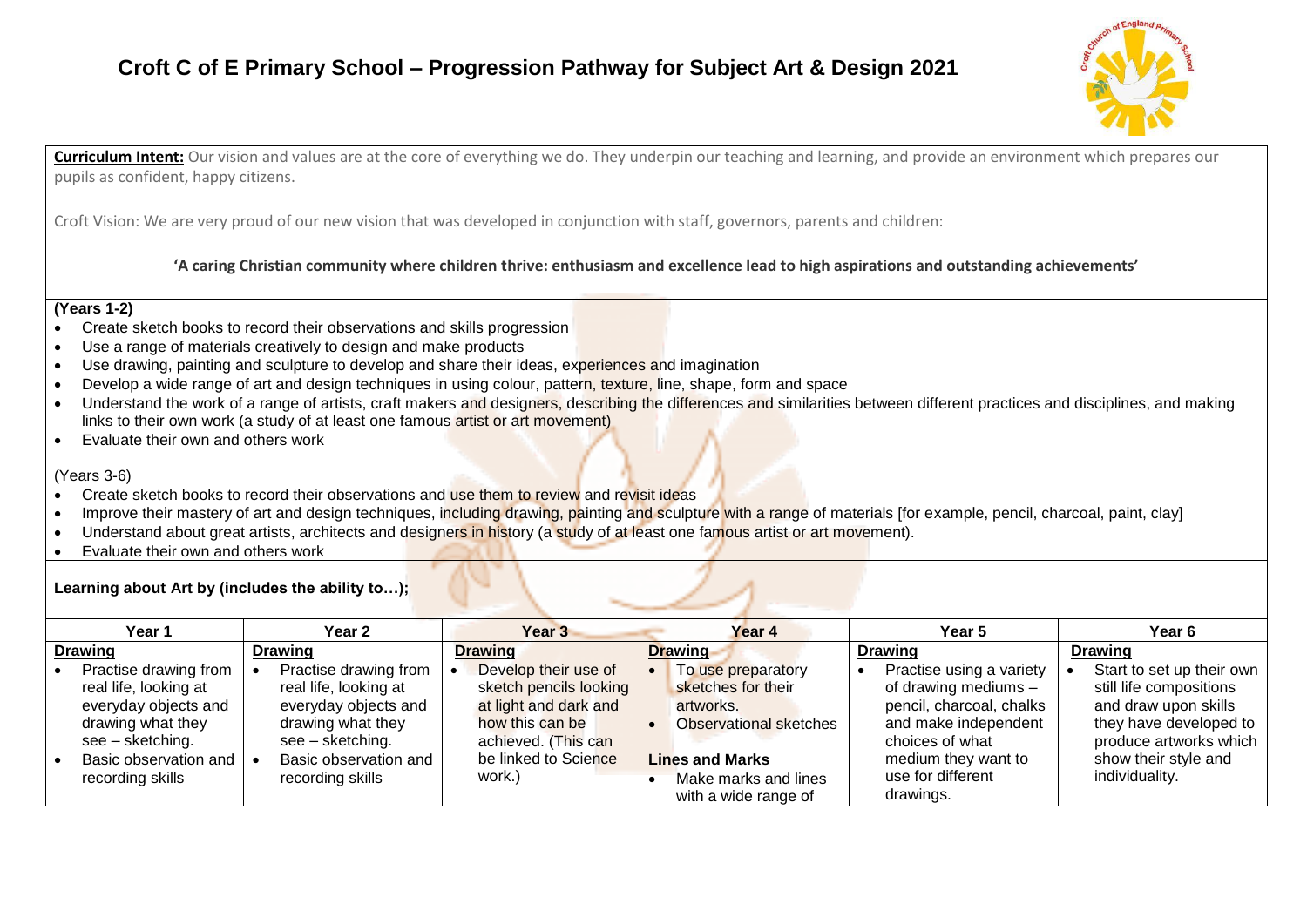## **Croft C of E Primary School – Progression Pathway for Subject Art & Design 2021**



**Curriculum Intent:** Our vision and values are at the core of everything we do. They underpin our teaching and learning, and provide an environment which prepares our pupils as confident, happy citizens.

Croft Vision: We are very proud of our new vision that was developed in conjunction with staff, governors, parents and children:

**'A caring Christian community where children thrive: enthusiasm and excellence lead to high aspirations and outstanding achievements'**

### **(Years 1-2)**

- Create sketch books to record their observations and skills progression
- Use a range of materials creatively to design and make products
- Use drawing, painting and sculpture to develop and share their ideas, experiences and imagination
- Develop a wide range of art and design techniques in using colour, pattern, texture, line, shape, form and space
- Understand the work of a range of artists, craft makers and designers, describing the differences and similarities between different practices and disciplines, and making links to their own work (a study of at least one famous artist or art movement)
- Evaluate their own and others work

### (Years 3-6)

- Create sketch books to record their observations and use them to review and revisit ideas
- Improve their mastery of art and design techniques, including drawing, painting and sculpture with a range of materials [for example, pencil, charcoal, paint, clay]
- Understand about great artists, architects and designers in history (a study of at least one famous artist or art movement).
- Evaluate their own and others work

### **Learning about Art by (includes the ability to…);**

| Year 1                                                                                                                                                       | Year 2                                                                                                                                                       | Year <sub>3</sub>                                                                                                                                   | Year 4                                                                                                                                                    | Year 5                                                                                                                                                                           | Year 6                                                                                                                                                                     |
|--------------------------------------------------------------------------------------------------------------------------------------------------------------|--------------------------------------------------------------------------------------------------------------------------------------------------------------|-----------------------------------------------------------------------------------------------------------------------------------------------------|-----------------------------------------------------------------------------------------------------------------------------------------------------------|----------------------------------------------------------------------------------------------------------------------------------------------------------------------------------|----------------------------------------------------------------------------------------------------------------------------------------------------------------------------|
| <b>Drawing</b>                                                                                                                                               | <b>Drawing</b>                                                                                                                                               | Drawing                                                                                                                                             | Drawing                                                                                                                                                   | <b>Drawing</b>                                                                                                                                                                   | <b>Drawing</b>                                                                                                                                                             |
| Practise drawing from<br>real life, looking at<br>everyday objects and<br>drawing what they<br>see – sketching.<br>Basic observation and<br>recording skills | Practise drawing from<br>real life, looking at<br>everyday objects and<br>drawing what they<br>see – sketching.<br>Basic observation and<br>recording skills | Develop their use of<br>sketch pencils looking<br>at light and dark and<br>how this can be<br>achieved. (This can<br>be linked to Science<br>work.) | To use preparatory<br>sketches for their<br>artworks.<br>Observational sketches<br><b>Lines and Marks</b><br>Make marks and lines<br>with a wide range of | Practise using a variety<br>of drawing mediums -<br>pencil, charcoal, chalks<br>and make independent<br>choices of what<br>medium they want to<br>use for different<br>drawings. | Start to set up their own<br>still life compositions<br>and draw upon skills<br>they have developed to<br>produce artworks which<br>show their style and<br>individuality. |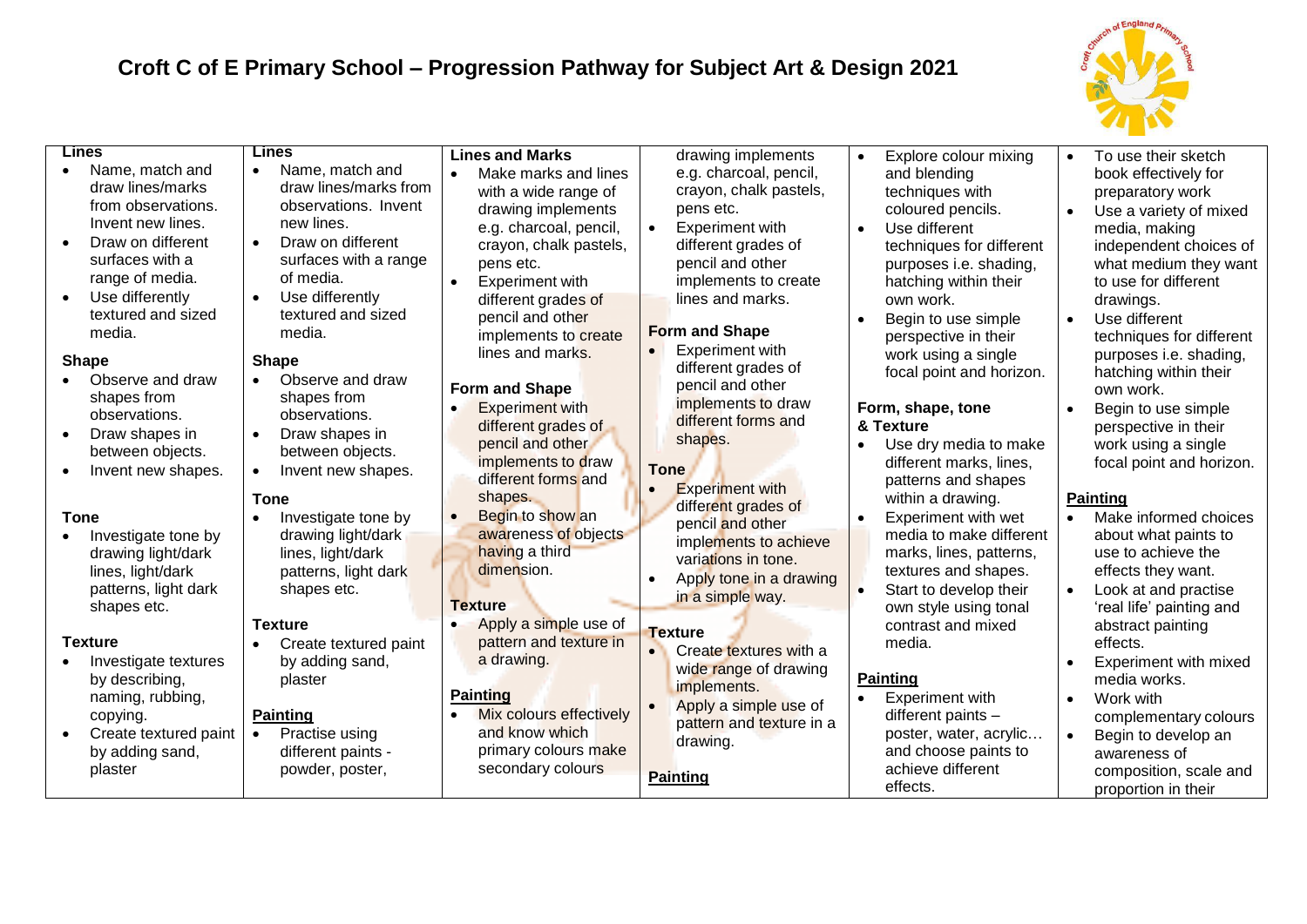# **Croft C of E Primary School – Progression Pathway for Subject Art & Design 2021**



| <b>Lines</b><br>Name, match and<br>$\bullet$<br>draw lines/marks<br>from observations.<br>Invent new lines.<br>Draw on different<br>surfaces with a<br>range of media.<br>Use differently<br>textured and sized<br>media.<br><b>Shape</b><br>Observe and draw<br>shapes from<br>observations.<br>Draw shapes in<br>$\bullet$<br>between objects.<br>Invent new shapes. | Lines<br>Name, match and<br>$\bullet$<br>draw lines/marks from<br>observations. Invent<br>new lines.<br>Draw on different<br>$\bullet$<br>surfaces with a range<br>of media.<br>Use differently<br>$\bullet$<br>textured and sized<br>media.<br><b>Shape</b><br>Observe and draw<br>$\bullet$<br>shapes from<br>observations.<br>Draw shapes in<br>$\bullet$<br>between objects.<br>Invent new shapes.<br>$\bullet$<br><b>Tone</b> | <b>Lines and Marks</b><br>Make marks and lines<br>with a wide range of<br>drawing implements<br>e.g. charcoal, pencil,<br>crayon, chalk pastels,<br>pens etc.<br><b>Experiment with</b><br>$\bullet$<br>different grades of<br>pencil and other<br>implements to create<br>lines and marks.<br><b>Form and Shape</b><br><b>Experiment with</b><br>different grades of<br>pencil and other<br>implements to draw<br>different forms and<br>shapes. | drawing implements<br>e.g. charcoal, pencil,<br>crayon, chalk pastels,<br>pens etc.<br><b>Experiment with</b><br>$\bullet$<br>different grades of<br>pencil and other<br>implements to create<br>lines and marks.<br><b>Form and Shape</b><br>Experiment with<br>different grades of<br>pencil and other<br>implements to draw<br>different forms and<br>shapes.<br><b>Tone</b><br><b>Experiment with</b> | Explore colour mixing<br>and blending<br>techniques with<br>coloured pencils.<br>Use different<br>techniques for different<br>purposes i.e. shading,<br>hatching within their<br>own work.<br>Begin to use simple<br>perspective in their<br>work using a single<br>focal point and horizon.<br>Form, shape, tone<br>& Texture<br>Use dry media to make<br>different marks, lines,<br>patterns and shapes<br>within a drawing. | To use their sketch<br>$\bullet$<br>book effectively for<br>preparatory work<br>Use a variety of mixed<br>media, making<br>independent choices of<br>what medium they want<br>to use for different<br>drawings.<br>$\bullet$<br>Use different<br>techniques for different<br>purposes i.e. shading,<br>hatching within their<br>own work.<br>Begin to use simple<br>$\bullet$<br>perspective in their<br>work using a single<br>focal point and horizon.<br><b>Painting</b> |
|------------------------------------------------------------------------------------------------------------------------------------------------------------------------------------------------------------------------------------------------------------------------------------------------------------------------------------------------------------------------|------------------------------------------------------------------------------------------------------------------------------------------------------------------------------------------------------------------------------------------------------------------------------------------------------------------------------------------------------------------------------------------------------------------------------------|---------------------------------------------------------------------------------------------------------------------------------------------------------------------------------------------------------------------------------------------------------------------------------------------------------------------------------------------------------------------------------------------------------------------------------------------------|-----------------------------------------------------------------------------------------------------------------------------------------------------------------------------------------------------------------------------------------------------------------------------------------------------------------------------------------------------------------------------------------------------------|--------------------------------------------------------------------------------------------------------------------------------------------------------------------------------------------------------------------------------------------------------------------------------------------------------------------------------------------------------------------------------------------------------------------------------|-----------------------------------------------------------------------------------------------------------------------------------------------------------------------------------------------------------------------------------------------------------------------------------------------------------------------------------------------------------------------------------------------------------------------------------------------------------------------------|
| <b>Tone</b><br>Investigate tone by<br>drawing light/dark<br>lines, light/dark<br>patterns, light dark<br>shapes etc.                                                                                                                                                                                                                                                   | Investigate tone by<br>$\bullet$<br>drawing light/dark<br>lines, light/dark<br>patterns, light dark<br>shapes etc.<br><b>Texture</b>                                                                                                                                                                                                                                                                                               | Begin to show an<br>awareness of objects<br>having a third<br>dimension.<br><b>Texture</b><br>Apply a simple use of                                                                                                                                                                                                                                                                                                                               | different grades of<br>pencil and other<br>implements to achieve<br>variations in tone.<br>Apply tone in a drawing<br>in a simple way.                                                                                                                                                                                                                                                                    | Experiment with wet<br>media to make different<br>marks, lines, patterns,<br>textures and shapes.<br>Start to develop their<br>own style using tonal<br>contrast and mixed                                                                                                                                                                                                                                                     | Make informed choices<br>about what paints to<br>use to achieve the<br>effects they want.<br>Look at and practise<br>$\bullet$<br>'real life' painting and<br>abstract painting                                                                                                                                                                                                                                                                                             |
| <b>Texture</b><br>Investigate textures<br>by describing,<br>naming, rubbing,<br>copying.<br>Create textured paint<br>by adding sand,<br>plaster                                                                                                                                                                                                                        | Create textured paint<br>by adding sand,<br>plaster<br><b>Painting</b><br>Practise using<br>different paints -<br>powder, poster,                                                                                                                                                                                                                                                                                                  | pattern and texture in<br>a drawing.<br><b>Painting</b><br>Mix colours effectively<br>and know which<br>primary colours make<br>secondary colours                                                                                                                                                                                                                                                                                                 | <b>Texture</b><br>Create textures with a<br>wide range of drawing<br>implements.<br>Apply a simple use of<br>pattern and texture in a<br>drawing.<br><b>Painting</b>                                                                                                                                                                                                                                      | media.<br><b>Painting</b><br><b>Experiment with</b><br>different paints -<br>poster, water, acrylic<br>and choose paints to<br>achieve different<br>effects.                                                                                                                                                                                                                                                                   | effects.<br>Experiment with mixed<br>$\bullet$<br>media works.<br>$\bullet$<br>Work with<br>complementary colours<br>Begin to develop an<br>$\bullet$<br>awareness of<br>composition, scale and<br>proportion in their                                                                                                                                                                                                                                                      |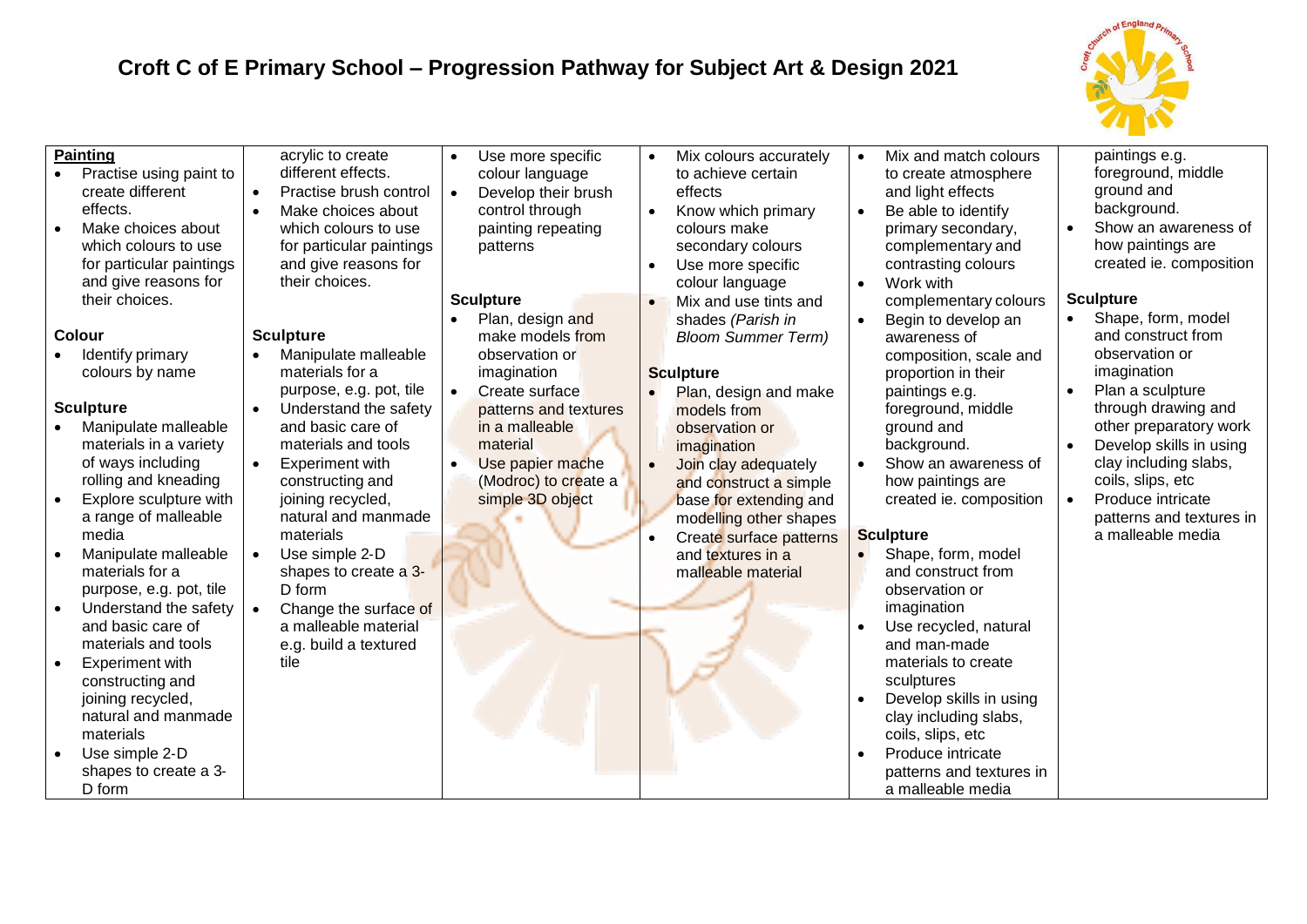# **Croft C of E Primary School – Progression Pathway for Subject Art & Design 2021**



| <b>Painting</b><br>Practise using paint to<br>create different<br>effects.<br>Make choices about<br>which colours to use<br>for particular paintings<br>and give reasons for<br>their choices.<br><b>Colour</b>                                                                                                                                              | acrylic to create<br>different effects.<br>Practise brush control<br>$\bullet$<br>Make choices about<br>$\bullet$<br>which colours to use<br>for particular paintings<br>and give reasons for<br>their choices.<br><b>Sculpture</b>                                                                                                                                                                             | Use more specific<br>$\bullet$<br>colour language<br>Develop their brush<br>control through<br>painting repeating<br>patterns<br><b>Sculpture</b><br>Plan, design and                                   | Mix colours accurately<br>to achieve certain<br>effects<br>Know which primary<br>colours make<br>secondary colours<br>Use more specific<br>colour language<br>Mix and use tints and<br>shades (Parish in                                                                                           | Mix and match colours<br>to create atmosphere<br>and light effects<br>Be able to identify<br>$\bullet$<br>primary secondary,<br>complementary and<br>contrasting colours<br>Work with<br>$\bullet$<br>complementary colours<br>Begin to develop an<br>$\bullet$                                                                                                             | paintings e.g.<br>foreground, middle<br>ground and<br>background.<br>Show an awareness of<br>how paintings are<br>created ie. composition<br><b>Sculpture</b><br>Shape, form, model<br>$\bullet$<br>and construct from                                                      |
|--------------------------------------------------------------------------------------------------------------------------------------------------------------------------------------------------------------------------------------------------------------------------------------------------------------------------------------------------------------|-----------------------------------------------------------------------------------------------------------------------------------------------------------------------------------------------------------------------------------------------------------------------------------------------------------------------------------------------------------------------------------------------------------------|---------------------------------------------------------------------------------------------------------------------------------------------------------------------------------------------------------|----------------------------------------------------------------------------------------------------------------------------------------------------------------------------------------------------------------------------------------------------------------------------------------------------|-----------------------------------------------------------------------------------------------------------------------------------------------------------------------------------------------------------------------------------------------------------------------------------------------------------------------------------------------------------------------------|-----------------------------------------------------------------------------------------------------------------------------------------------------------------------------------------------------------------------------------------------------------------------------|
| Identify primary<br>colours by name<br><b>Sculpture</b><br>Manipulate malleable<br>materials in a variety<br>of ways including<br>rolling and kneading<br>Explore sculpture with<br>a range of malleable<br>media<br>Manipulate malleable<br>materials for a<br>purpose, e.g. pot, tile<br>Understand the safety<br>and basic care of<br>materials and tools | Manipulate malleable<br>materials for a<br>purpose, e.g. pot, tile<br>Understand the safety<br>$\bullet$<br>and basic care of<br>materials and tools<br><b>Experiment with</b><br>$\bullet$<br>constructing and<br>joining recycled,<br>natural and manmade<br>materials<br>Use simple 2-D<br>shapes to create a 3-<br>D form<br>Change the surface of<br>a malleable material<br>e.g. build a textured<br>tile | make models from<br>observation or<br>imagination<br>Create surface<br>$\bullet$<br>patterns and textures<br>in a malleable<br>material<br>Use papier mache<br>(Modroc) to create a<br>simple 3D object | <b>Bloom Summer Term)</b><br><b>Sculpture</b><br>Plan, design and make<br>models from<br>observation or<br>imagination<br>Join clay adequately<br>and construct a simple<br>base for extending and<br>modelling other shapes<br>Create surface patterns<br>and textures in a<br>malleable material | awareness of<br>composition, scale and<br>proportion in their<br>paintings e.g.<br>foreground, middle<br>ground and<br>background.<br>Show an awareness of<br>how paintings are<br>created ie. composition<br><b>Sculpture</b><br>Shape, form, model<br>and construct from<br>observation or<br>imagination<br>Use recycled, natural<br>and man-made<br>materials to create | observation or<br>imagination<br>Plan a sculpture<br>$\bullet$<br>through drawing and<br>other preparatory work<br>Develop skills in using<br>clay including slabs,<br>coils, slips, etc<br>Produce intricate<br>$\bullet$<br>patterns and textures in<br>a malleable media |
| <b>Experiment with</b><br>constructing and<br>joining recycled,<br>natural and manmade<br>materials<br>Use simple 2-D<br>shapes to create a 3-<br>D form                                                                                                                                                                                                     |                                                                                                                                                                                                                                                                                                                                                                                                                 |                                                                                                                                                                                                         |                                                                                                                                                                                                                                                                                                    | sculptures<br>Develop skills in using<br>clay including slabs,<br>coils, slips, etc<br>Produce intricate<br>$\bullet$<br>patterns and textures in<br>a malleable media                                                                                                                                                                                                      |                                                                                                                                                                                                                                                                             |